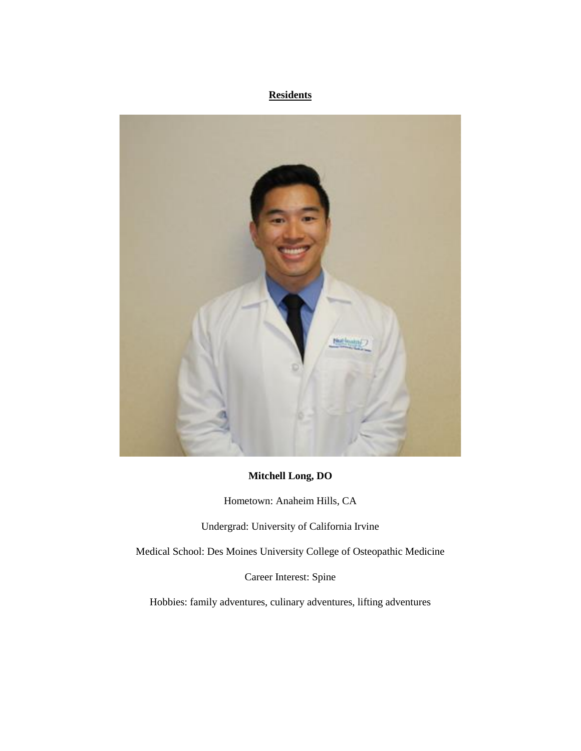### **Residents**



#### **Mitchell Long, DO**

Hometown: Anaheim Hills, CA

Undergrad: University of California Irvine

Medical School: Des Moines University College of Osteopathic Medicine

Career Interest: Spine

Hobbies: family adventures, culinary adventures, lifting adventures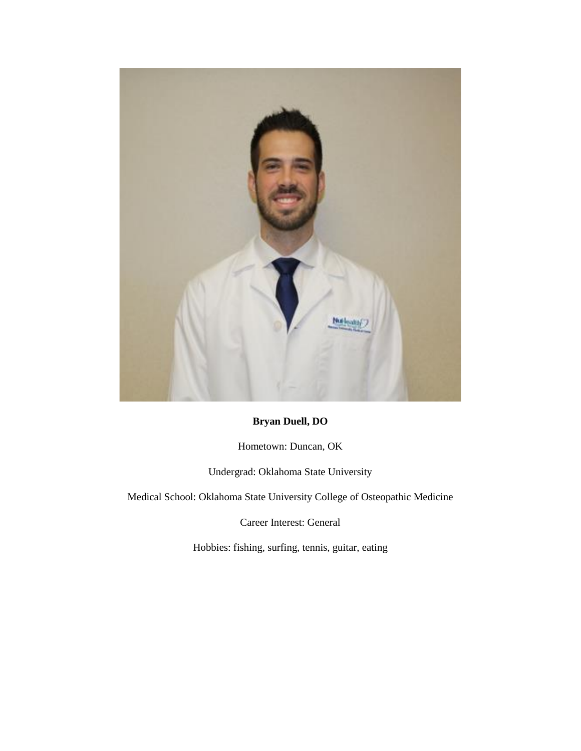

# **Bryan Duell, DO**

Hometown: Duncan, OK

Undergrad: Oklahoma State University

Medical School: Oklahoma State University College of Osteopathic Medicine

Career Interest: General

Hobbies: fishing, surfing, tennis, guitar, eating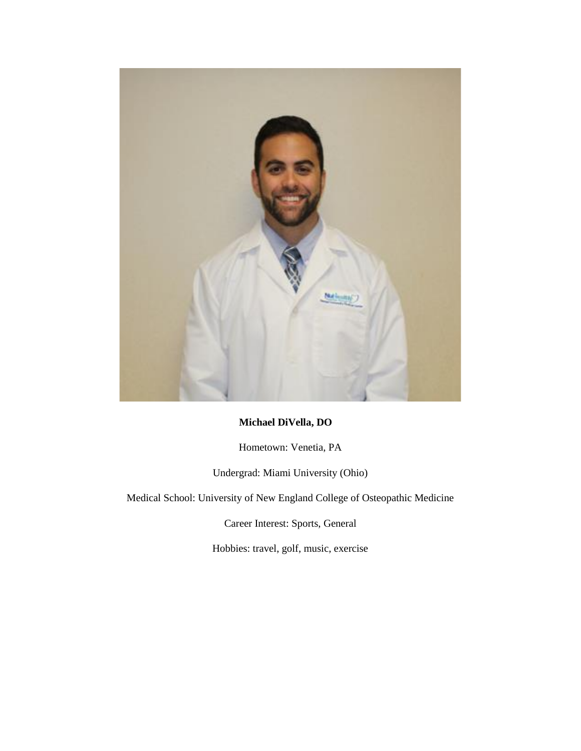

# **Michael DiVella, DO**

Hometown: Venetia, PA

Undergrad: Miami University (Ohio)

Medical School: University of New England College of Osteopathic Medicine

Career Interest: Sports, General

Hobbies: travel, golf, music, exercise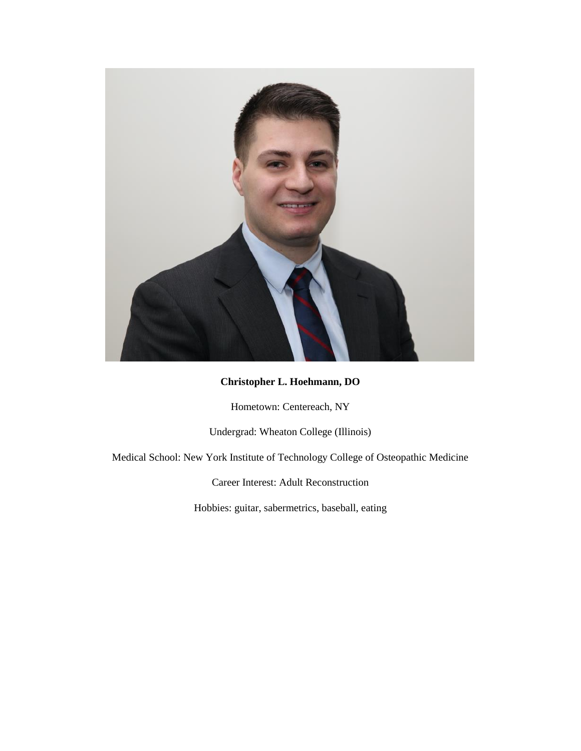

#### **Christopher L. Hoehmann, DO**

Hometown: Centereach, NY

Undergrad: Wheaton College (Illinois)

Medical School: New York Institute of Technology College of Osteopathic Medicine

Career Interest: Adult Reconstruction

Hobbies: guitar, sabermetrics, baseball, eating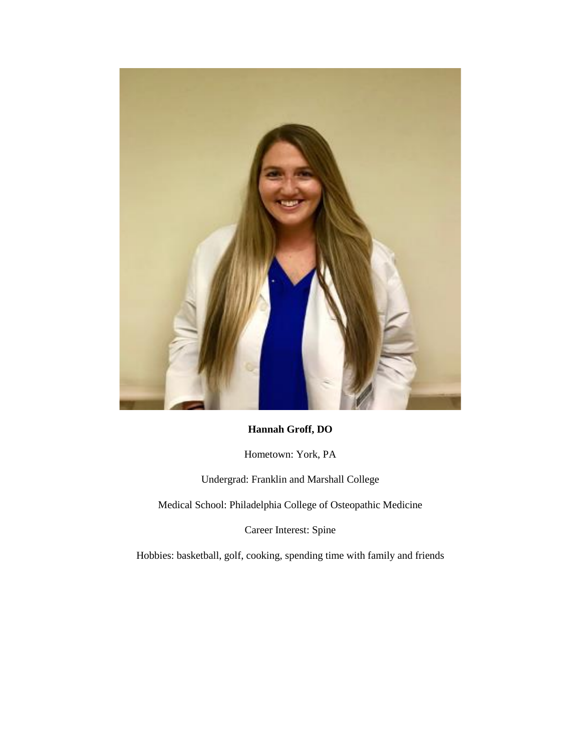

# **Hannah Groff, DO**

Hometown: York, PA

Undergrad: Franklin and Marshall College

Medical School: Philadelphia College of Osteopathic Medicine

Career Interest: Spine

Hobbies: basketball, golf, cooking, spending time with family and friends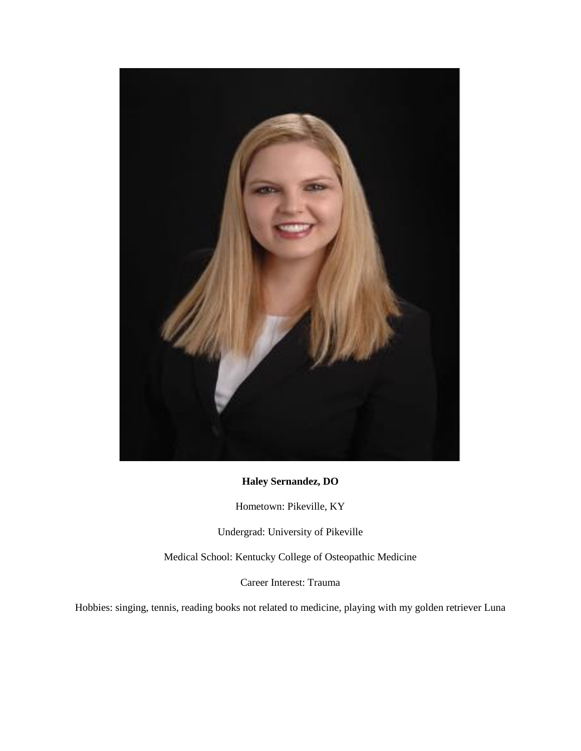

**Haley Sernandez, DO**

Hometown: Pikeville, KY

Undergrad: University of Pikeville

Medical School: Kentucky College of Osteopathic Medicine

Career Interest: Trauma

Hobbies: singing, tennis, reading books not related to medicine, playing with my golden retriever Luna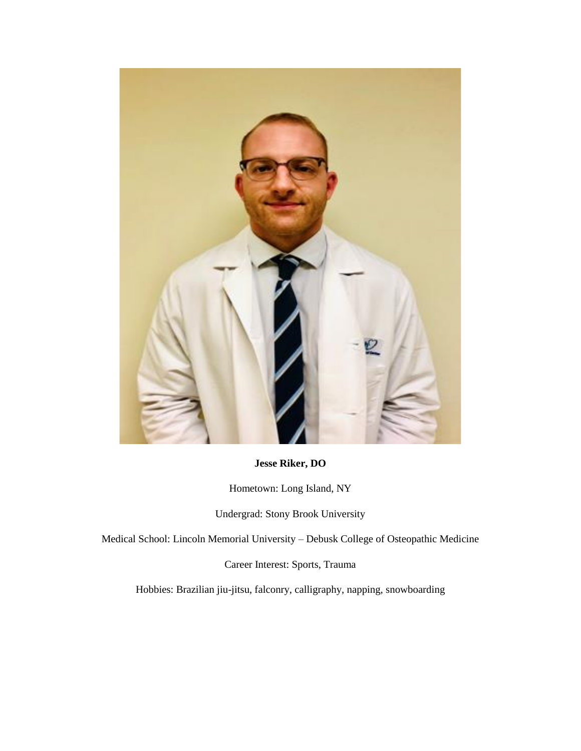

**Jesse Riker, DO**

Hometown: Long Island, NY

Undergrad: Stony Brook University

Medical School: Lincoln Memorial University – Debusk College of Osteopathic Medicine

Career Interest: Sports, Trauma

Hobbies: Brazilian jiu-jitsu, falconry, calligraphy, napping, snowboarding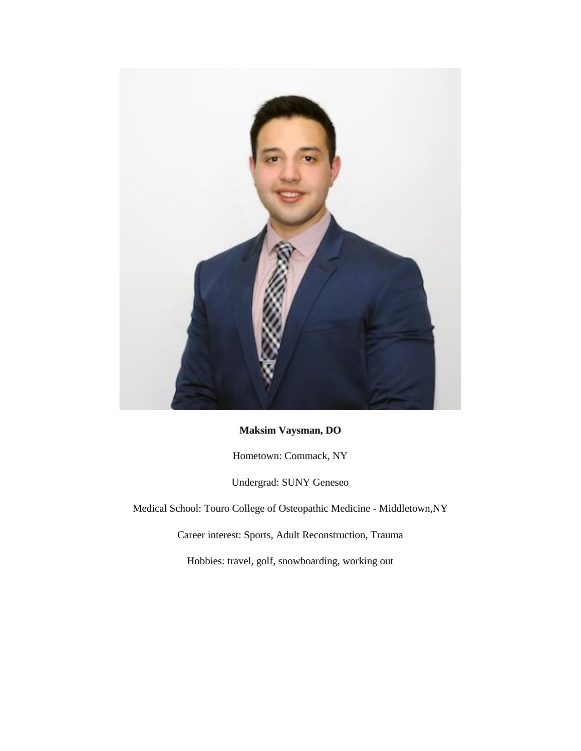

**Maksim Vaysman, DO**

Hometown: Commack, NY

Undergrad: SUNY Geneseo

Medical School: Touro College of Osteopathic Medicine - Middletown,NY

Career interest: Sports, Adult Reconstruction, Trauma

Hobbies: travel, golf, snowboarding, working out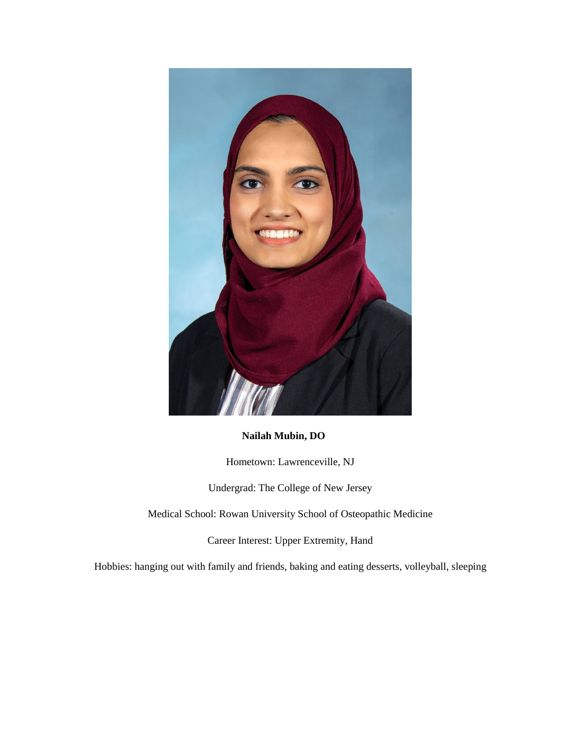

**Nailah Mubin, DO**

Hometown: Lawrenceville, NJ

Undergrad: The College of New Jersey

Medical School: Rowan University School of Osteopathic Medicine

Career Interest: Upper Extremity, Hand

Hobbies: hanging out with family and friends, baking and eating desserts, volleyball, sleeping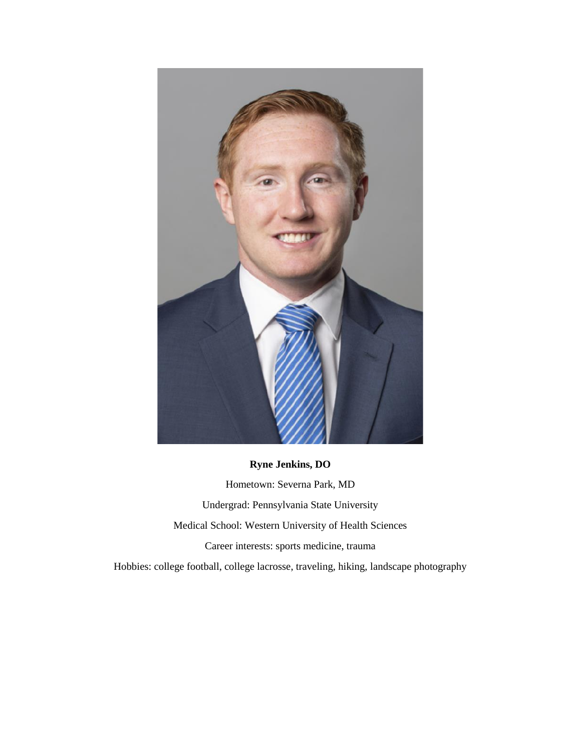

**Ryne Jenkins, DO** Hometown: Severna Park, MD Undergrad: Pennsylvania State University Medical School: Western University of Health Sciences Career interests: sports medicine, trauma Hobbies: college football, college lacrosse, traveling, hiking, landscape photography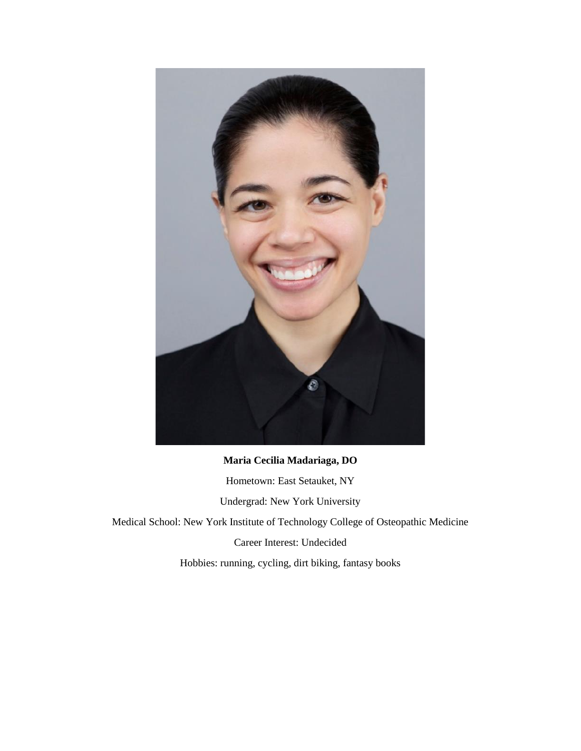

**Maria Cecilia Madariaga, DO** Hometown: East Setauket, NY Undergrad: New York University Medical School: New York Institute of Technology College of Osteopathic Medicine Career Interest: Undecided Hobbies: running, cycling, dirt biking, fantasy books